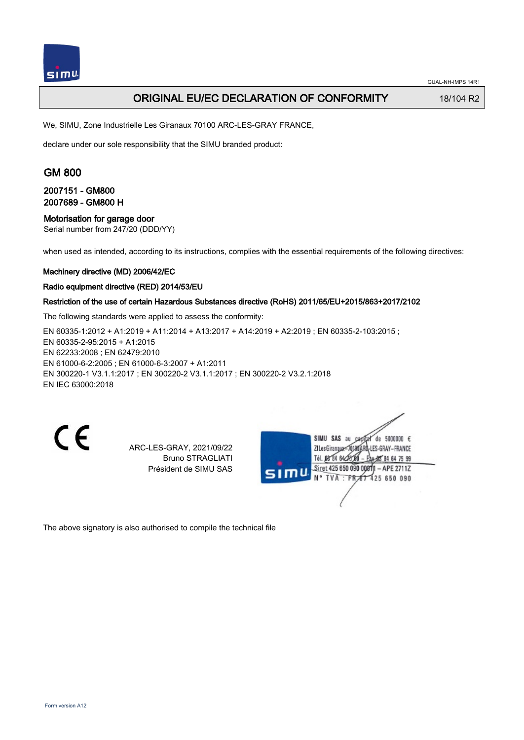

## ORIGINAL EU/EC DECLARATION OF CONFORMITY 18/104 R2

We, SIMU, Zone Industrielle Les Giranaux 70100 ARC-LES-GRAY FRANCE,

declare under our sole responsibility that the SIMU branded product:

## GM 800

### 2007151 - GM800 2007689 - GM800 H

#### Motorisation for garage door

Serial number from 247/20 (DDD/YY)

when used as intended, according to its instructions, complies with the essential requirements of the following directives:

#### Machinery directive (MD) 2006/42/EC

#### Radio equipment directive (RED) 2014/53/EU

### Restriction of the use of certain Hazardous Substances directive (RoHS) 2011/65/EU+2015/863+2017/2102

The following standards were applied to assess the conformity:

EN 60335-1:2012 + A1:2019 + A11:2014 + A13:2017 + A14:2019 + A2:2019 ; EN 60335-2-103:2015 ; EN 60335‑2‑95:2015 + A1:2015 EN 62233:2008 ; EN 62479:2010 EN 61000‑6‑2:2005 ; EN 61000‑6‑3:2007 + A1:2011 EN 300220‑1 V3.1.1:2017 ; EN 300220‑2 V3.1.1:2017 ; EN 300220‑2 V3.2.1:2018 EN IEC 63000:2018

 $\epsilon$ 

ARC-LES-GRAY, 2021/09/22 Bruno STRAGLIATI Président de SIMU SAS

SIMU SAS au de 5000000  $\epsilon$ ZI Les Giranaux-70180ARD -LES-GRAY-FRANCE Tél. 08 84 64 28 584 64 75 99 Siret 425 650 090 00811 - APE 2711Z TVA: FR<sub>47</sub> 425 650 090

The above signatory is also authorised to compile the technical file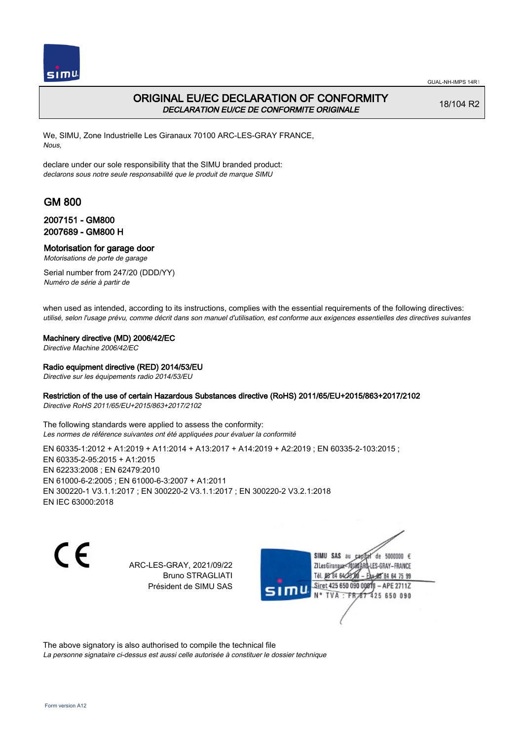

# ORIGINAL EU/EC DECLARATION OF CONFORMITY DECLARATION EU/CE DE CONFORMITE ORIGINALE

18/104 R2

We, SIMU, Zone Industrielle Les Giranaux 70100 ARC-LES-GRAY FRANCE, Nous,

declare under our sole responsibility that the SIMU branded product: declarons sous notre seule responsabilité que le produit de marque SIMU

# GM 800

## 2007151 - GM800 2007689 - GM800 H

### Motorisation for garage door

Motorisations de porte de garage

Serial number from 247/20 (DDD/YY) Numéro de série à partir de

when used as intended, according to its instructions, complies with the essential requirements of the following directives: utilisé, selon l'usage prévu, comme décrit dans son manuel d'utilisation, est conforme aux exigences essentielles des directives suivantes

### Machinery directive (MD) 2006/42/EC

Directive Machine 2006/42/EC

### Radio equipment directive (RED) 2014/53/EU

Directive sur les équipements radio 2014/53/EU

### Restriction of the use of certain Hazardous Substances directive (RoHS) 2011/65/EU+2015/863+2017/2102

Directive RoHS 2011/65/EU+2015/863+2017/2102

The following standards were applied to assess the conformity: Les normes de référence suivantes ont été appliquées pour évaluer la conformité

EN 60335-1:2012 + A1:2019 + A11:2014 + A13:2017 + A14:2019 + A2:2019 ; EN 60335-2-103:2015 ; EN 60335‑2‑95:2015 + A1:2015 EN 62233:2008 ; EN 62479:2010 EN 61000‑6‑2:2005 ; EN 61000‑6‑3:2007 + A1:2011 EN 300220‑1 V3.1.1:2017 ; EN 300220‑2 V3.1.1:2017 ; EN 300220‑2 V3.2.1:2018 EN IEC 63000:2018

C E

ARC-LES-GRAY, 2021/09/22 Bruno STRAGLIATI Président de SIMU SAS

SIMU SAS au de 5000000  $\epsilon$ ZI Les Giranaux<sup>2</sup> ES-GRAY-FRANCE Tél. 08 84 64 2 64 75 99 Siret 425 650 090 00811  $-$  APF 27117 125 650 090

The above signatory is also authorised to compile the technical file

La personne signataire ci-dessus est aussi celle autorisée à constituer le dossier technique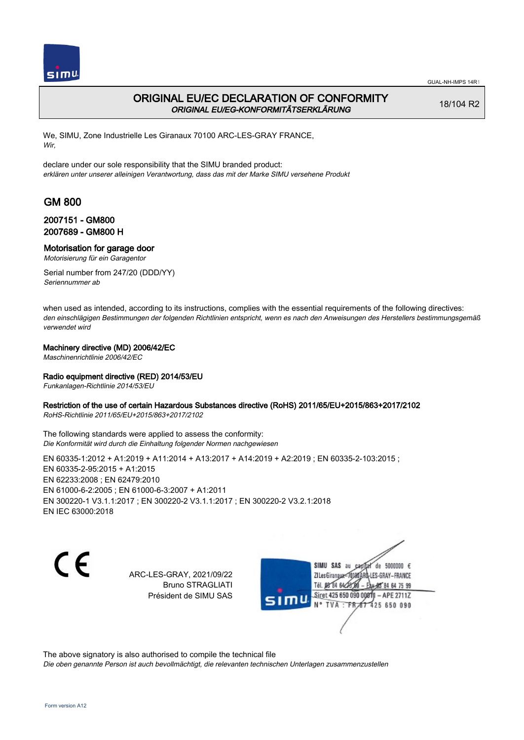

# ORIGINAL EU/EC DECLARATION OF CONFORMITY ORIGINAL EU/EG-KONFORMITÄTSERKLÄRUNG

18/104 R2

We, SIMU, Zone Industrielle Les Giranaux 70100 ARC-LES-GRAY FRANCE, Wir,

declare under our sole responsibility that the SIMU branded product: erklären unter unserer alleinigen Verantwortung, dass das mit der Marke SIMU versehene Produkt

# GM 800

## 2007151 - GM800 2007689 - GM800 H

### Motorisation for garage door

Motorisierung für ein Garagentor

Serial number from 247/20 (DDD/YY) Seriennummer ab

when used as intended, according to its instructions, complies with the essential requirements of the following directives: den einschlägigen Bestimmungen der folgenden Richtlinien entspricht, wenn es nach den Anweisungen des Herstellers bestimmungsgemäß verwendet wird

### Machinery directive (MD) 2006/42/EC

Maschinenrichtlinie 2006/42/EC

### Radio equipment directive (RED) 2014/53/EU

Funkanlagen-Richtlinie 2014/53/EU

#### Restriction of the use of certain Hazardous Substances directive (RoHS) 2011/65/EU+2015/863+2017/2102

RoHS-Richtlinie 2011/65/EU+2015/863+2017/2102

The following standards were applied to assess the conformity: Die Konformität wird durch die Einhaltung folgender Normen nachgewiesen

EN 60335-1:2012 + A1:2019 + A11:2014 + A13:2017 + A14:2019 + A2:2019 ; EN 60335-2-103:2015 ;

EN 60335‑2‑95:2015 + A1:2015 EN 62233:2008 ; EN 62479:2010 EN 61000‑6‑2:2005 ; EN 61000‑6‑3:2007 + A1:2011 EN 300220‑1 V3.1.1:2017 ; EN 300220‑2 V3.1.1:2017 ; EN 300220‑2 V3.2.1:2018 EN IEC 63000:2018

C E

ARC-LES-GRAY, 2021/09/22 Bruno STRAGLIATI Président de SIMU SAS

de 5000000  $\epsilon$ SIMU SAS au ZI Les Giranauxe LES-GRAY-FRANCE Tél. 08 84 64 24 95 84 64 75 99 Siret 425 650 090 00811 - APE 2711Z **TVA: FR** 425 650 090

The above signatory is also authorised to compile the technical file

Die oben genannte Person ist auch bevollmächtigt, die relevanten technischen Unterlagen zusammenzustellen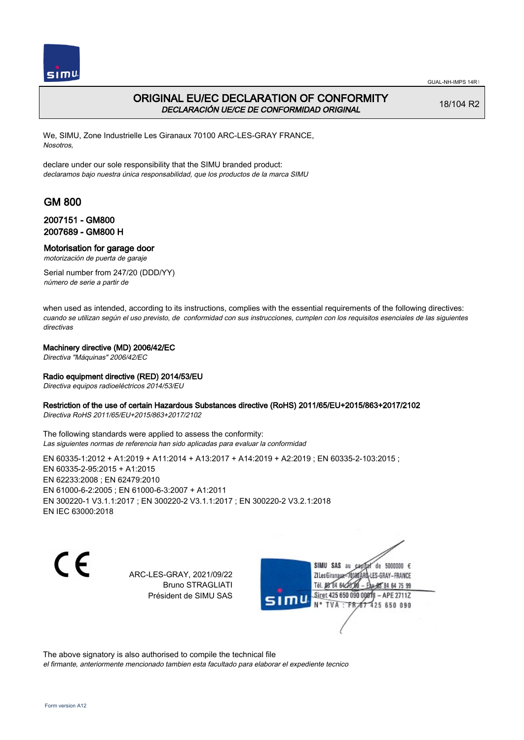

# ORIGINAL EU/EC DECLARATION OF CONFORMITY DECLARACIÓN UE/CE DE CONFORMIDAD ORIGINAL

18/104 R2

We, SIMU, Zone Industrielle Les Giranaux 70100 ARC-LES-GRAY FRANCE, Nosotros,

declare under our sole responsibility that the SIMU branded product: declaramos bajo nuestra única responsabilidad, que los productos de la marca SIMU

# GM 800

## 2007151 - GM800 2007689 - GM800 H

### Motorisation for garage door

motorización de puerta de garaje

Serial number from 247/20 (DDD/YY) número de serie a partir de

when used as intended, according to its instructions, complies with the essential requirements of the following directives: cuando se utilizan según el uso previsto, de conformidad con sus instrucciones, cumplen con los requisitos esenciales de las siguientes directivas

### Machinery directive (MD) 2006/42/EC

Directiva "Máquinas" 2006/42/EC

### Radio equipment directive (RED) 2014/53/EU

Directiva equipos radioeléctricos 2014/53/EU

#### Restriction of the use of certain Hazardous Substances directive (RoHS) 2011/65/EU+2015/863+2017/2102

Directiva RoHS 2011/65/EU+2015/863+2017/2102

The following standards were applied to assess the conformity: Las siguientes normas de referencia han sido aplicadas para evaluar la conformidad

EN 60335-1:2012 + A1:2019 + A11:2014 + A13:2017 + A14:2019 + A2:2019 ; EN 60335-2-103:2015 ;

EN 60335‑2‑95:2015 + A1:2015 EN 62233:2008 ; EN 62479:2010 EN 61000‑6‑2:2005 ; EN 61000‑6‑3:2007 + A1:2011 EN 300220‑1 V3.1.1:2017 ; EN 300220‑2 V3.1.1:2017 ; EN 300220‑2 V3.2.1:2018 EN IEC 63000:2018

C E

ARC-LES-GRAY, 2021/09/22 Bruno STRAGLIATI Président de SIMU SAS

de 5000000  $\epsilon$ SIMU SAS au ZI Les Giranaux<sup>2</sup> LES-GRAY-FRANCE Tél. 08 84 64 24 95 84 64 75 99 Siret 425 650 090 00811 - APE 2711Z  $TVA : FRAT$ 425 650 090

The above signatory is also authorised to compile the technical file el firmante, anteriormente mencionado tambien esta facultado para elaborar el expediente tecnico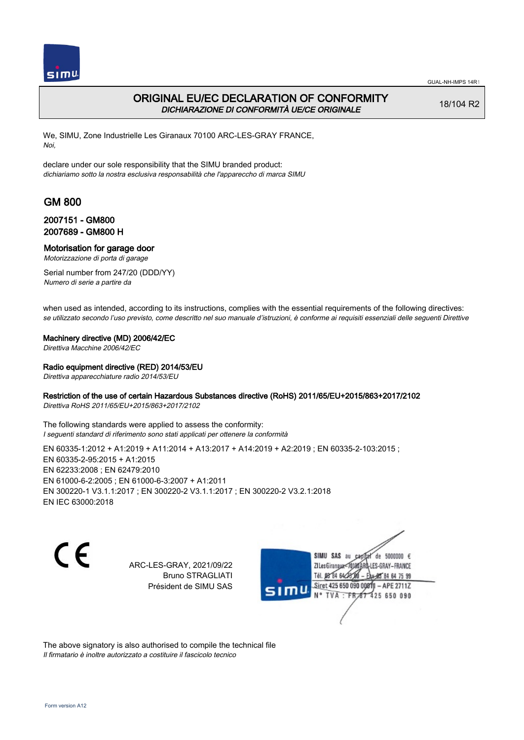

## ORIGINAL EU/EC DECLARATION OF CONFORMITY DICHIARAZIONE DI CONFORMITÀ UE/CE ORIGINALE

18/104 R2

We, SIMU, Zone Industrielle Les Giranaux 70100 ARC-LES-GRAY FRANCE, Noi,

declare under our sole responsibility that the SIMU branded product: dichiariamo sotto la nostra esclusiva responsabilità che l'appareccho di marca SIMU

# GM 800

### 2007151 - GM800 2007689 - GM800 H

#### Motorisation for garage door

Motorizzazione di porta di garage

Serial number from 247/20 (DDD/YY) Numero di serie a partire da

when used as intended, according to its instructions, complies with the essential requirements of the following directives: se utilizzato secondo l'uso previsto, come descritto nel suo manuale d'istruzioni, è conforme ai requisiti essenziali delle seguenti Direttive

#### Machinery directive (MD) 2006/42/EC

Direttiva Macchine 2006/42/EC

#### Radio equipment directive (RED) 2014/53/EU

Direttiva apparecchiature radio 2014/53/EU

#### Restriction of the use of certain Hazardous Substances directive (RoHS) 2011/65/EU+2015/863+2017/2102

Direttiva RoHS 2011/65/EU+2015/863+2017/2102

The following standards were applied to assess the conformity: I seguenti standard di riferimento sono stati applicati per ottenere la conformità

EN 60335-1:2012 + A1:2019 + A11:2014 + A13:2017 + A14:2019 + A2:2019 ; EN 60335-2-103:2015 ; EN 60335‑2‑95:2015 + A1:2015 EN 62233:2008 ; EN 62479:2010 EN 61000‑6‑2:2005 ; EN 61000‑6‑3:2007 + A1:2011 EN 300220‑1 V3.1.1:2017 ; EN 300220‑2 V3.1.1:2017 ; EN 300220‑2 V3.2.1:2018 EN IEC 63000:2018

CE

ARC-LES-GRAY, 2021/09/22 Bruno STRAGLIATI Président de SIMU SAS

SIMU SAS au de 5000000  $\epsilon$ ZI Les Giranaux<sup>2</sup> ES-GRAY-FRANCE Tél. 08 84 64 2 64 75 99 Siret 425 650 090 00811  $-$  APF 27117 125 650 090

The above signatory is also authorised to compile the technical file Il firmatario è inoltre autorizzato a costituire il fascicolo tecnico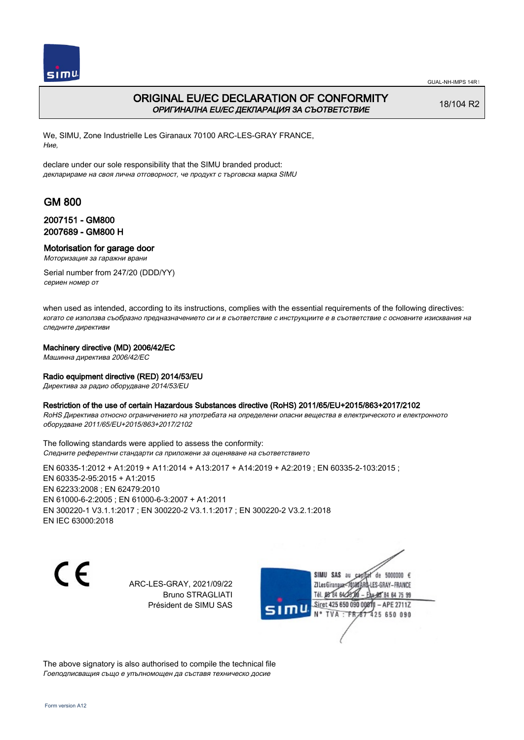

# ORIGINAL EU/EC DECLARATION OF CONFORMITY ОРИГИНАЛНА EU/EC ДЕКЛАРАЦИЯ ЗА СЪОТВЕТСТВИЕ

18/104 R2

We, SIMU, Zone Industrielle Les Giranaux 70100 ARC-LES-GRAY FRANCE, Ние,

declare under our sole responsibility that the SIMU branded product: декларираме на своя лична отговорност, че продукт с търговска марка SIMU

# GM 800

## 2007151 - GM800 2007689 - GM800 H

### Motorisation for garage door

Моторизация за гаражни врани

Serial number from 247/20 (DDD/YY) сериен номер от

when used as intended, according to its instructions, complies with the essential requirements of the following directives: когато се използва съобразно предназначението си и в съответствие с инструкциите е в съответствие с основните изисквания на следните директиви

### Machinery directive (MD) 2006/42/EC

Машинна директива 2006/42/EC

### Radio equipment directive (RED) 2014/53/EU

Директива за радио оборудване 2014/53/EU

### Restriction of the use of certain Hazardous Substances directive (RoHS) 2011/65/EU+2015/863+2017/2102

RoHS Директива относно ограничението на употребата на определени опасни вещества в електрическото и електронното оборудване 2011/65/EU+2015/863+2017/2102

The following standards were applied to assess the conformity: Следните референтни стандарти са приложени за оценяване на съответствието

EN 60335-1:2012 + A1:2019 + A11:2014 + A13:2017 + A14:2019 + A2:2019 ; EN 60335-2-103:2015 ; EN 60335‑2‑95:2015 + A1:2015 EN 62233:2008 ; EN 62479:2010 EN 61000‑6‑2:2005 ; EN 61000‑6‑3:2007 + A1:2011 EN 300220‑1 V3.1.1:2017 ; EN 300220‑2 V3.1.1:2017 ; EN 300220‑2 V3.2.1:2018 EN IEC 63000:2018

CE

ARC-LES-GRAY, 2021/09/22 Bruno STRAGLIATI Président de SIMU SAS



The above signatory is also authorised to compile the technical file Гоеподписващия също е упълномощен да съставя техническо досие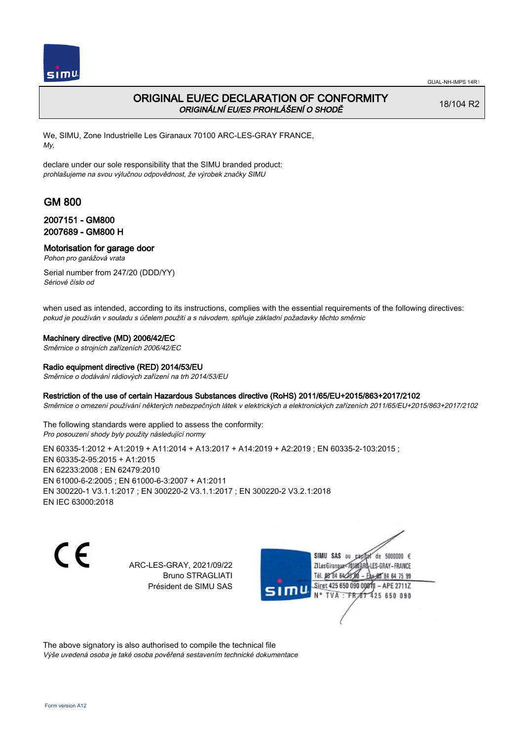

# ORIGINAL EU/EC DECLARATION OF CONFORMITY ORIGINÁLNÍ EU/ES PROHLÁŠENÍ O SHODĚ

18/104 R2

We, SIMU, Zone Industrielle Les Giranaux 70100 ARC-LES-GRAY FRANCE, My,

declare under our sole responsibility that the SIMU branded product: prohlašujeme na svou výlučnou odpovědnost, že výrobek značky SIMU

# GM 800

## 2007151 - GM800 2007689 - GM800 H

Motorisation for garage door

Pohon pro garážová vrata

Serial number from 247/20 (DDD/YY) Sériové číslo od

when used as intended, according to its instructions, complies with the essential requirements of the following directives: pokud je používán v souladu s účelem použití a s návodem, splňuje základní požadavky těchto směrnic

### Machinery directive (MD) 2006/42/EC

Směrnice o strojních zařízeních 2006/42/EC

### Radio equipment directive (RED) 2014/53/EU

Směrnice o dodávání rádiových zařízení na trh 2014/53/EU

### Restriction of the use of certain Hazardous Substances directive (RoHS) 2011/65/EU+2015/863+2017/2102

Směrnice o omezení používání některých nebezpečných látek v elektrických a elektronických zařízeních 2011/65/EU+2015/863+2017/2102

The following standards were applied to assess the conformity: Pro posouzení shody byly použity následující normy

EN 60335-1:2012 + A1:2019 + A11:2014 + A13:2017 + A14:2019 + A2:2019 ; EN 60335-2-103:2015 ; EN 60335‑2‑95:2015 + A1:2015 EN 62233:2008 ; EN 62479:2010 EN 61000‑6‑2:2005 ; EN 61000‑6‑3:2007 + A1:2011 EN 300220‑1 V3.1.1:2017 ; EN 300220‑2 V3.1.1:2017 ; EN 300220‑2 V3.2.1:2018 EN IEC 63000:2018

 $\epsilon$ 

ARC-LES-GRAY, 2021/09/22 Bruno STRAGLIATI Président de SIMU SAS

de 5000000  $\epsilon$ SIMU SAS au ZI Les Giranaux< ES-GRAY-FRANCE Tél. 08 84 64 2 64 75 99 Siret 425 650 090 00811  $-$  APF 27117 125 650 090

The above signatory is also authorised to compile the technical file Výše uvedená osoba je také osoba pověřená sestavením technické dokumentace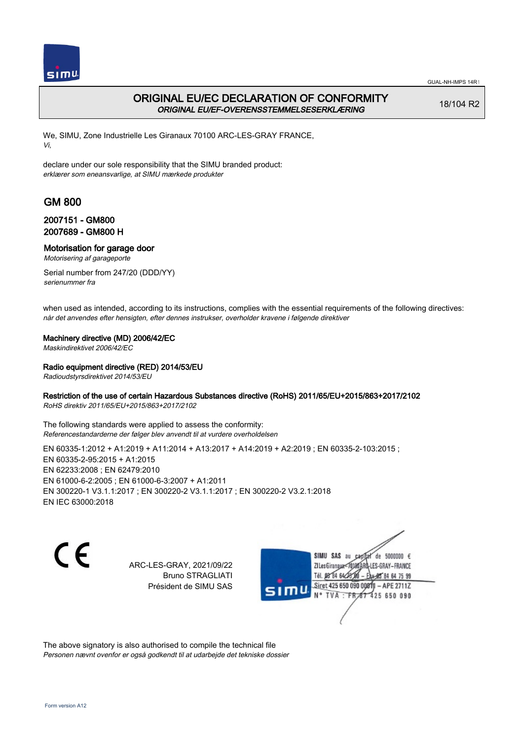

# ORIGINAL EU/EC DECLARATION OF CONFORMITY ORIGINAL EU/EF-OVERENSSTEMMELSESERKLÆRING

18/104 R2

We, SIMU, Zone Industrielle Les Giranaux 70100 ARC-LES-GRAY FRANCE, Vi,

declare under our sole responsibility that the SIMU branded product: erklærer som eneansvarlige, at SIMU mærkede produkter

# GM 800

## 2007151 - GM800 2007689 - GM800 H

## Motorisation for garage door

Motorisering af garageporte

Serial number from 247/20 (DDD/YY) serienummer fra

when used as intended, according to its instructions, complies with the essential requirements of the following directives: når det anvendes efter hensigten, efter dennes instrukser, overholder kravene i følgende direktiver

### Machinery directive (MD) 2006/42/EC

Maskindirektivet 2006/42/EC

### Radio equipment directive (RED) 2014/53/EU

Radioudstyrsdirektivet 2014/53/EU

### Restriction of the use of certain Hazardous Substances directive (RoHS) 2011/65/EU+2015/863+2017/2102

RoHS direktiv 2011/65/EU+2015/863+2017/2102

The following standards were applied to assess the conformity: Referencestandarderne der følger blev anvendt til at vurdere overholdelsen

EN 60335-1:2012 + A1:2019 + A11:2014 + A13:2017 + A14:2019 + A2:2019 ; EN 60335-2-103:2015 ; EN 60335‑2‑95:2015 + A1:2015 EN 62233:2008 ; EN 62479:2010 EN 61000‑6‑2:2005 ; EN 61000‑6‑3:2007 + A1:2011 EN 300220‑1 V3.1.1:2017 ; EN 300220‑2 V3.1.1:2017 ; EN 300220‑2 V3.2.1:2018 EN IEC 63000:2018

 $\epsilon$ 

ARC-LES-GRAY, 2021/09/22 Bruno STRAGLIATI Président de SIMU SAS

SIMU SAS au de 5000000  $\epsilon$ ZI Les Giranaux< ES-GRAY-FRANCE Tél. 08 84 64 2 64 75 99 Siret 425 650 090 00811  $-$  APF 27117 125 650 090

The above signatory is also authorised to compile the technical file Personen nævnt ovenfor er også godkendt til at udarbejde det tekniske dossier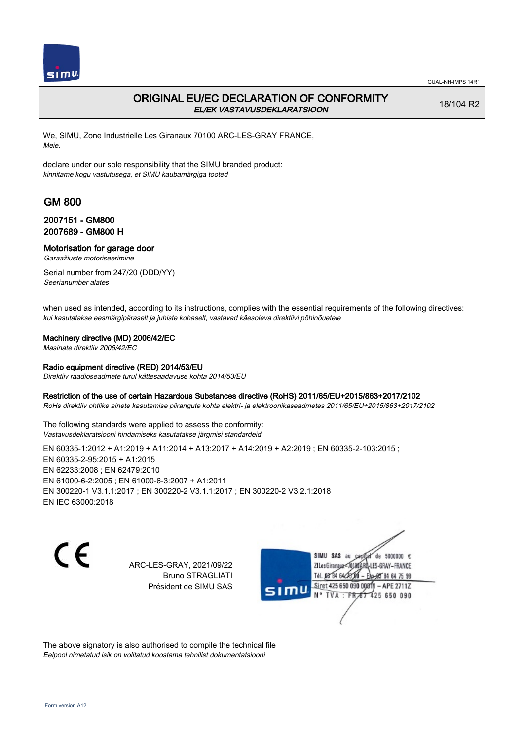

# ORIGINAL EU/EC DECLARATION OF CONFORMITY EL/EK VASTAVUSDEKLARATSIOON

18/104 R2

We, SIMU, Zone Industrielle Les Giranaux 70100 ARC-LES-GRAY FRANCE, Meie,

declare under our sole responsibility that the SIMU branded product: kinnitame kogu vastutusega, et SIMU kaubamärgiga tooted

# GM 800

## 2007151 - GM800 2007689 - GM800 H

### Motorisation for garage door

Garaažiuste motoriseerimine

Serial number from 247/20 (DDD/YY) Seerianumber alates

when used as intended, according to its instructions, complies with the essential requirements of the following directives: kui kasutatakse eesmärgipäraselt ja juhiste kohaselt, vastavad käesoleva direktiivi põhinõuetele

### Machinery directive (MD) 2006/42/EC

Masinate direktiiv 2006/42/EC

#### Radio equipment directive (RED) 2014/53/EU

Direktiiv raadioseadmete turul kättesaadavuse kohta 2014/53/EU

#### Restriction of the use of certain Hazardous Substances directive (RoHS) 2011/65/EU+2015/863+2017/2102

RoHs direktiiv ohtlike ainete kasutamise piirangute kohta elektri- ja elektroonikaseadmetes 2011/65/EU+2015/863+2017/2102

The following standards were applied to assess the conformity: Vastavusdeklaratsiooni hindamiseks kasutatakse järgmisi standardeid

EN 60335-1:2012 + A1:2019 + A11:2014 + A13:2017 + A14:2019 + A2:2019 ; EN 60335-2-103:2015 ; EN 60335‑2‑95:2015 + A1:2015 EN 62233:2008 ; EN 62479:2010 EN 61000‑6‑2:2005 ; EN 61000‑6‑3:2007 + A1:2011 EN 300220‑1 V3.1.1:2017 ; EN 300220‑2 V3.1.1:2017 ; EN 300220‑2 V3.2.1:2018 EN IEC 63000:2018

 $\epsilon$ 

ARC-LES-GRAY, 2021/09/22 Bruno STRAGLIATI Président de SIMU SAS

SIMU SAS au de 5000000  $\epsilon$ ZI Les Giranaux< ES-GRAY-FRANCE Tél. 08 84 64 2 64 75 99 Siret 425 650 090 00811  $-$  APF 27117 125 650 090

The above signatory is also authorised to compile the technical file Eelpool nimetatud isik on volitatud koostama tehnilist dokumentatsiooni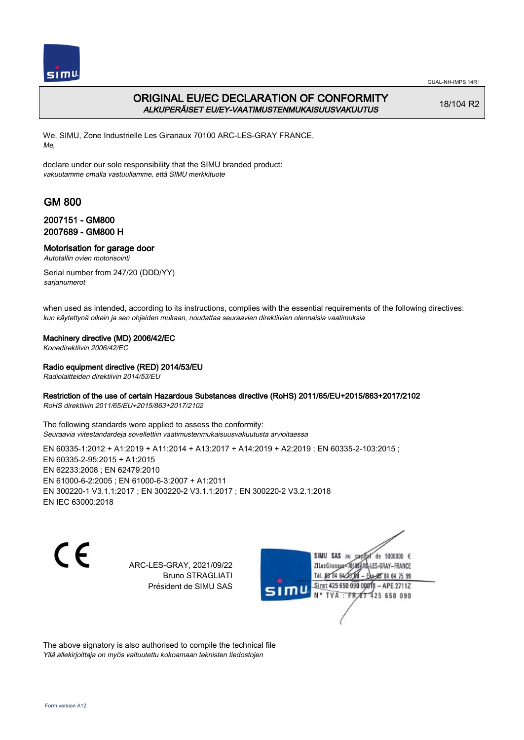

# ORIGINAL EU/EC DECLARATION OF CONFORMITY ALKUPERÄISET EU/EY-VAATIMUSTENMUKAISUUSVAKUUTUS

18/104 R2

We, SIMU, Zone Industrielle Les Giranaux 70100 ARC-LES-GRAY FRANCE, Me,

declare under our sole responsibility that the SIMU branded product: vakuutamme omalla vastuullamme, että SIMU merkkituote

# GM 800

## 2007151 - GM800 2007689 - GM800 H

## Motorisation for garage door

Autotallin ovien motorisointi

Serial number from 247/20 (DDD/YY) sarjanumerot

when used as intended, according to its instructions, complies with the essential requirements of the following directives: kun käytettynä oikein ja sen ohjeiden mukaan, noudattaa seuraavien direktiivien olennaisia vaatimuksia

### Machinery directive (MD) 2006/42/EC

Konedirektiivin 2006/42/EC

### Radio equipment directive (RED) 2014/53/EU

Radiolaitteiden direktiivin 2014/53/EU

### Restriction of the use of certain Hazardous Substances directive (RoHS) 2011/65/EU+2015/863+2017/2102

RoHS direktiivin 2011/65/EU+2015/863+2017/2102

The following standards were applied to assess the conformity: Seuraavia viitestandardeja sovellettiin vaatimustenmukaisuusvakuutusta arvioitaessa

EN 60335-1:2012 + A1:2019 + A11:2014 + A13:2017 + A14:2019 + A2:2019 ; EN 60335-2-103:2015 ; EN 60335‑2‑95:2015 + A1:2015 EN 62233:2008 ; EN 62479:2010 EN 61000‑6‑2:2005 ; EN 61000‑6‑3:2007 + A1:2011 EN 300220‑1 V3.1.1:2017 ; EN 300220‑2 V3.1.1:2017 ; EN 300220‑2 V3.2.1:2018 EN IEC 63000:2018

 $\epsilon$ 

ARC-LES-GRAY, 2021/09/22 Bruno STRAGLIATI Président de SIMU SAS

SIMU SAS au de 5000000  $\epsilon$ ZI Les Giranaux< ES-GRAY-FRANCE Tél. 08 84 64 2 64 75 99 Siret 425 650 090 00811  $-$  APF 27117 125 650 090

The above signatory is also authorised to compile the technical file Yllä allekirjoittaja on myös valtuutettu kokoamaan teknisten tiedostojen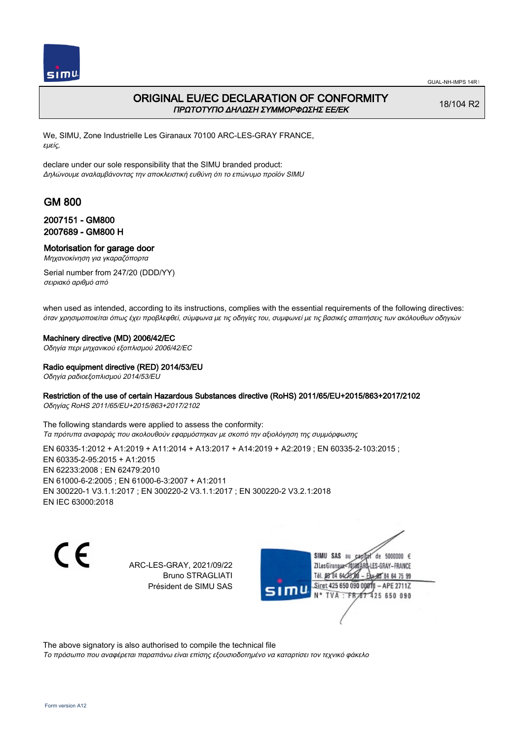

## ORIGINAL EU/EC DECLARATION OF CONFORMITY ΠΡΩΤΟΤΥΠΟ ΔΗΛΩΣΗ ΣΥΜΜΟΡΦΩΣΗΣ ΕΕ/EK

18/104 R2

We, SIMU, Zone Industrielle Les Giranaux 70100 ARC-LES-GRAY FRANCE, εμείς,

declare under our sole responsibility that the SIMU branded product: Δηλώνουμε αναλαμβάνοντας την αποκλειστική ευθύνη ότι το επώνυμο προϊόν SIMU

# GM 800

### 2007151 - GM800 2007689 - GM800 H

### Motorisation for garage door

Μηχανοκίνηση για γκαραζόπορτα

Serial number from 247/20 (DDD/YY) σειριακό αριθμό από

when used as intended, according to its instructions, complies with the essential requirements of the following directives: όταν χρησιμοποιείται όπως έχει προβλεφθεί, σύμφωνα με τις οδηγίες του, συμφωνεί με τις βασικές απαιτήσεις των ακόλουθων οδηγιών

#### Machinery directive (MD) 2006/42/EC

Οδηγία περι μηχανικού εξοπλισμού 2006/42/EC

#### Radio equipment directive (RED) 2014/53/EU

Οδηγία ραδιοεξοπλισμού 2014/53/EU

#### Restriction of the use of certain Hazardous Substances directive (RoHS) 2011/65/EU+2015/863+2017/2102

Οδηγίας RoHS 2011/65/EU+2015/863+2017/2102

The following standards were applied to assess the conformity: Τα πρότυπα αναφοράς που ακολουθούν εφαρμόστηκαν με σκοπό την αξιολόγηση της συμμόρφωσης

EN 60335-1:2012 + A1:2019 + A11:2014 + A13:2017 + A14:2019 + A2:2019 ; EN 60335-2-103:2015 ; EN 60335‑2‑95:2015 + A1:2015 EN 62233:2008 ; EN 62479:2010 EN 61000‑6‑2:2005 ; EN 61000‑6‑3:2007 + A1:2011 EN 300220‑1 V3.1.1:2017 ; EN 300220‑2 V3.1.1:2017 ; EN 300220‑2 V3.2.1:2018 EN IEC 63000:2018

C E

ARC-LES-GRAY, 2021/09/22 Bruno STRAGLIATI Président de SIMU SAS

SIMU SAS au de 5000000  $\epsilon$ ZI Les Giranaux-70180 LES-GRAY-FRANCE Tél. 08 84 64 28 64 75 99 Siret 425 650 090 00811  $-$  APF 27117 125 650 090

The above signatory is also authorised to compile the technical file

Το πρόσωπο που αναφέρεται παραπάνω είναι επίσης εξουσιοδοτημένο να καταρτίσει τον τεχνικό φάκελο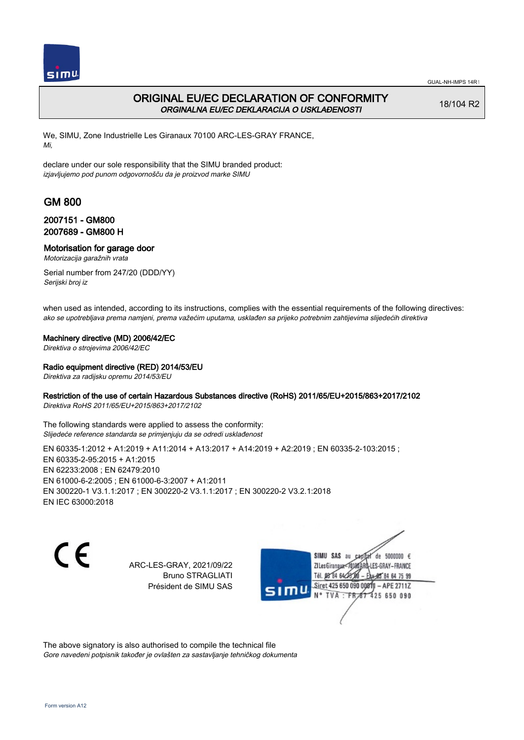

# ORIGINAL EU/EC DECLARATION OF CONFORMITY ORGINALNA EU/EC DEKLARACIJA O USKLAĐENOSTI

18/104 R2

We, SIMU, Zone Industrielle Les Giranaux 70100 ARC-LES-GRAY FRANCE, Mi,

declare under our sole responsibility that the SIMU branded product: izjavljujemo pod punom odgovornošču da je proizvod marke SIMU

# GM 800

## 2007151 - GM800 2007689 - GM800 H

# Motorisation for garage door

Motorizacija garažnih vrata

Serial number from 247/20 (DDD/YY) Serijski broj iz

when used as intended, according to its instructions, complies with the essential requirements of the following directives: ako se upotrebljava prema namjeni, prema važećim uputama, usklađen sa prijeko potrebnim zahtijevima slijedećih direktiva

### Machinery directive (MD) 2006/42/EC

Direktiva o strojevima 2006/42/EC

### Radio equipment directive (RED) 2014/53/EU

Direktiva za radijsku opremu 2014/53/EU

### Restriction of the use of certain Hazardous Substances directive (RoHS) 2011/65/EU+2015/863+2017/2102

Direktiva RoHS 2011/65/EU+2015/863+2017/2102

The following standards were applied to assess the conformity: Slijedeće reference standarda se primjenjuju da se odredi usklađenost

EN 60335-1:2012 + A1:2019 + A11:2014 + A13:2017 + A14:2019 + A2:2019 ; EN 60335-2-103:2015 ; EN 60335‑2‑95:2015 + A1:2015 EN 62233:2008 ; EN 62479:2010 EN 61000‑6‑2:2005 ; EN 61000‑6‑3:2007 + A1:2011 EN 300220‑1 V3.1.1:2017 ; EN 300220‑2 V3.1.1:2017 ; EN 300220‑2 V3.2.1:2018 EN IEC 63000:2018

C E

ARC-LES-GRAY, 2021/09/22 Bruno STRAGLIATI Président de SIMU SAS

SIMU SAS au de 5000000  $\epsilon$ ZI Les Giranaux< ES-GRAY-FRANCE Tél. 08 84 64 2 64 75 99 Siret 425 650 090 00811  $-$  APF 27117 125 650 090

The above signatory is also authorised to compile the technical file Gore navedeni potpisnik također je ovlašten za sastavljanje tehničkog dokumenta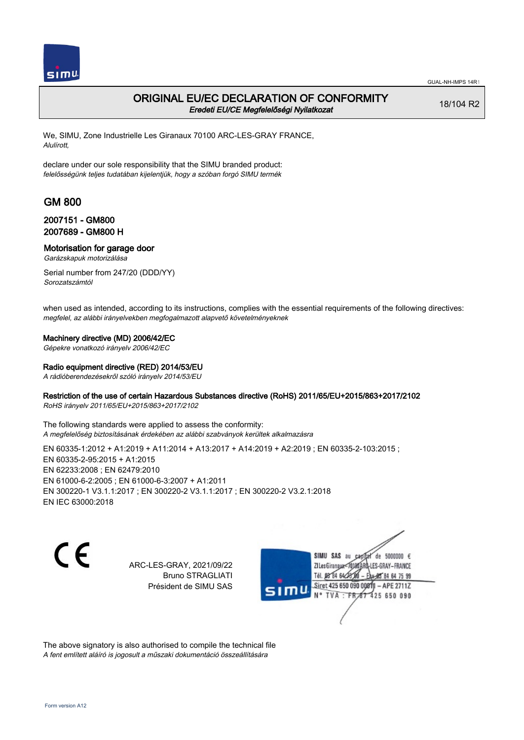

## ORIGINAL EU/EC DECLARATION OF CONFORMITY Eredeti EU/CE Megfelelőségi Nyilatkozat

18/104 R2

We, SIMU, Zone Industrielle Les Giranaux 70100 ARC-LES-GRAY FRANCE, Alulírott,

declare under our sole responsibility that the SIMU branded product: felelősségünk teljes tudatában kijelentjük, hogy a szóban forgó SIMU termék

# GM 800

### 2007151 - GM800 2007689 - GM800 H

## Motorisation for garage door

Garázskapuk motorizálása

Serial number from 247/20 (DDD/YY) Sorozatszámtól

when used as intended, according to its instructions, complies with the essential requirements of the following directives: megfelel, az alábbi irányelvekben megfogalmazott alapvető követelményeknek

### Machinery directive (MD) 2006/42/EC

Gépekre vonatkozó irányelv 2006/42/EC

#### Radio equipment directive (RED) 2014/53/EU

A rádióberendezésekről szóló irányelv 2014/53/EU

### Restriction of the use of certain Hazardous Substances directive (RoHS) 2011/65/EU+2015/863+2017/2102

RoHS irányelv 2011/65/EU+2015/863+2017/2102

The following standards were applied to assess the conformity: A megfelelőség biztosításának érdekében az alábbi szabványok kerültek alkalmazásra

EN 60335-1:2012 + A1:2019 + A11:2014 + A13:2017 + A14:2019 + A2:2019 ; EN 60335-2-103:2015 ; EN 60335‑2‑95:2015 + A1:2015 EN 62233:2008 ; EN 62479:2010 EN 61000‑6‑2:2005 ; EN 61000‑6‑3:2007 + A1:2011 EN 300220‑1 V3.1.1:2017 ; EN 300220‑2 V3.1.1:2017 ; EN 300220‑2 V3.2.1:2018 EN IEC 63000:2018

 $\epsilon$ 

ARC-LES-GRAY, 2021/09/22 Bruno STRAGLIATI Président de SIMU SAS

SIMU SAS au de 5000000  $\epsilon$ ZI Les Giranaux< LES-GRAY-FRANCE Tél. 08 84 64 2 64 75 99 Siret 425 650 090 00811  $-$  APF 27117 125 650 090

The above signatory is also authorised to compile the technical file A fent említett aláíró is jogosult a műszaki dokumentáció összeállítására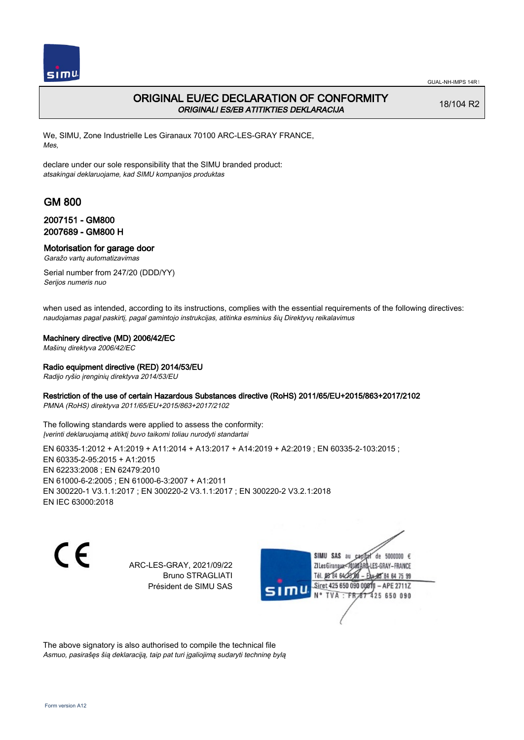

# ORIGINAL EU/EC DECLARATION OF CONFORMITY ORIGINALI ES/EB ATITIKTIES DEKLARACIJA

18/104 R2

We, SIMU, Zone Industrielle Les Giranaux 70100 ARC-LES-GRAY FRANCE, Mes,

declare under our sole responsibility that the SIMU branded product: atsakingai deklaruojame, kad SIMU kompanijos produktas

# GM 800

## 2007151 - GM800 2007689 - GM800 H

### Motorisation for garage door

Garažo vartų automatizavimas

Serial number from 247/20 (DDD/YY) Serijos numeris nuo

when used as intended, according to its instructions, complies with the essential requirements of the following directives: naudojamas pagal paskirtį, pagal gamintojo instrukcijas, atitinka esminius šių Direktyvų reikalavimus

### Machinery directive (MD) 2006/42/EC

Mašinų direktyva 2006/42/EC

### Radio equipment directive (RED) 2014/53/EU

Radijo ryšio įrenginių direktyva 2014/53/EU

### Restriction of the use of certain Hazardous Substances directive (RoHS) 2011/65/EU+2015/863+2017/2102

PMNA (RoHS) direktyva 2011/65/EU+2015/863+2017/2102

The following standards were applied to assess the conformity: Įverinti deklaruojamą atitiktį buvo taikomi toliau nurodyti standartai

EN 60335-1:2012 + A1:2019 + A11:2014 + A13:2017 + A14:2019 + A2:2019 ; EN 60335-2-103:2015 ; EN 60335‑2‑95:2015 + A1:2015 EN 62233:2008 ; EN 62479:2010 EN 61000‑6‑2:2005 ; EN 61000‑6‑3:2007 + A1:2011 EN 300220‑1 V3.1.1:2017 ; EN 300220‑2 V3.1.1:2017 ; EN 300220‑2 V3.2.1:2018 EN IEC 63000:2018

 $\epsilon$ 

ARC-LES-GRAY, 2021/09/22 Bruno STRAGLIATI Président de SIMU SAS

SIMU SAS au de 5000000  $\epsilon$ ZI Les Giranaux-70180 LES-GRAY-FRANCE Tél. 08 R4 64 2 64 75 99 Siret 425 650 090 0081  $-$  APF 27117 **TVA · FR** 425 650 090

The above signatory is also authorised to compile the technical file Asmuo, pasirašęs šią deklaraciją, taip pat turi įgaliojimą sudaryti techninę bylą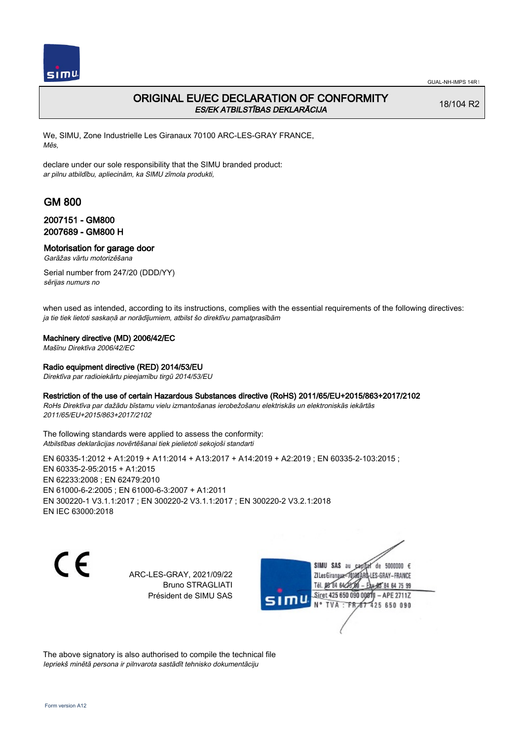

# ORIGINAL EU/EC DECLARATION OF CONFORMITY ES/EK ATBILSTĪBAS DEKLARĀCIJA

18/104 R2

We, SIMU, Zone Industrielle Les Giranaux 70100 ARC-LES-GRAY FRANCE, Mēs,

declare under our sole responsibility that the SIMU branded product: ar pilnu atbildību, apliecinām, ka SIMU zīmola produkti,

# GM 800

## 2007151 - GM800 2007689 - GM800 H

## Motorisation for garage door

Garāžas vārtu motorizēšana

Serial number from 247/20 (DDD/YY) sērijas numurs no

when used as intended, according to its instructions, complies with the essential requirements of the following directives: ja tie tiek lietoti saskaņā ar norādījumiem, atbilst šo direktīvu pamatprasībām

### Machinery directive (MD) 2006/42/EC

Mašīnu Direktīva 2006/42/EC

### Radio equipment directive (RED) 2014/53/EU

Direktīva par radioiekārtu pieejamību tirgū 2014/53/EU

### Restriction of the use of certain Hazardous Substances directive (RoHS) 2011/65/EU+2015/863+2017/2102

RoHs Direktīva par dažādu bīstamu vielu izmantošanas ierobežošanu elektriskās un elektroniskās iekārtās 2011/65/EU+2015/863+2017/2102

The following standards were applied to assess the conformity: Atbilstības deklarācijas novērtēšanai tiek pielietoti sekojoši standarti

EN 60335-1:2012 + A1:2019 + A11:2014 + A13:2017 + A14:2019 + A2:2019 ; EN 60335-2-103:2015 ; EN 60335‑2‑95:2015 + A1:2015 EN 62233:2008 ; EN 62479:2010 EN 61000‑6‑2:2005 ; EN 61000‑6‑3:2007 + A1:2011 EN 300220‑1 V3.1.1:2017 ; EN 300220‑2 V3.1.1:2017 ; EN 300220‑2 V3.2.1:2018 EN IEC 63000:2018



ARC-LES-GRAY, 2021/09/22 Bruno STRAGLIATI Président de SIMU SAS



The above signatory is also authorised to compile the technical file Iepriekš minētā persona ir pilnvarota sastādīt tehnisko dokumentāciju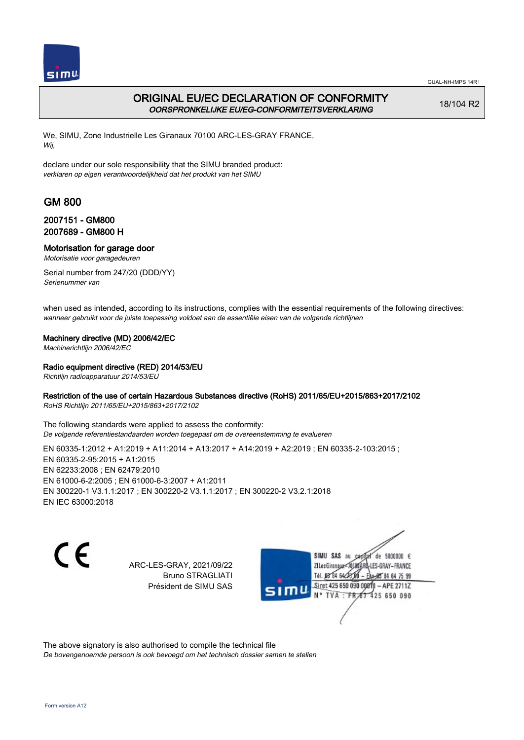

# ORIGINAL EU/EC DECLARATION OF CONFORMITY OORSPRONKELIJKE EU/EG-CONFORMITEITSVERKLARING

18/104 R2

We, SIMU, Zone Industrielle Les Giranaux 70100 ARC-LES-GRAY FRANCE, Wij,

declare under our sole responsibility that the SIMU branded product: verklaren op eigen verantwoordelijkheid dat het produkt van het SIMU

# GM 800

## 2007151 - GM800 2007689 - GM800 H

### Motorisation for garage door

Motorisatie voor garagedeuren

Serial number from 247/20 (DDD/YY) Serienummer van

when used as intended, according to its instructions, complies with the essential requirements of the following directives: wanneer gebruikt voor de juiste toepassing voldoet aan de essentiële eisen van de volgende richtlijnen

### Machinery directive (MD) 2006/42/EC

Machinerichtlijn 2006/42/EC

### Radio equipment directive (RED) 2014/53/EU

Richtlijn radioapparatuur 2014/53/EU

### Restriction of the use of certain Hazardous Substances directive (RoHS) 2011/65/EU+2015/863+2017/2102

RoHS Richtlijn 2011/65/EU+2015/863+2017/2102

The following standards were applied to assess the conformity: De volgende referentiestandaarden worden toegepast om de overeenstemming te evalueren

EN 60335-1:2012 + A1:2019 + A11:2014 + A13:2017 + A14:2019 + A2:2019 ; EN 60335-2-103:2015 ; EN 60335‑2‑95:2015 + A1:2015 EN 62233:2008 ; EN 62479:2010 EN 61000‑6‑2:2005 ; EN 61000‑6‑3:2007 + A1:2011 EN 300220‑1 V3.1.1:2017 ; EN 300220‑2 V3.1.1:2017 ; EN 300220‑2 V3.2.1:2018 EN IEC 63000:2018

CE

ARC-LES-GRAY, 2021/09/22 Bruno STRAGLIATI Président de SIMU SAS

SIMU SAS au de 5000000  $\epsilon$ ZI Les Giranaux< ES-GRAY-FRANCE Tél. 08 84 64 2 64 75 99 Siret 425 650 090 00811  $-$  APF 27117 125 650 090

The above signatory is also authorised to compile the technical file De bovengenoemde persoon is ook bevoegd om het technisch dossier samen te stellen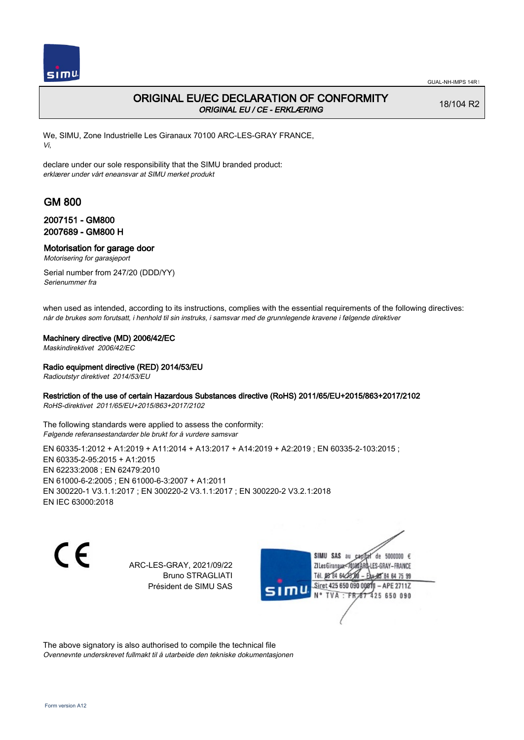

## ORIGINAL EU/EC DECLARATION OF CONFORMITY ORIGINAL EU / CE - ERKLÆRING

18/104 R2

We, SIMU, Zone Industrielle Les Giranaux 70100 ARC-LES-GRAY FRANCE, Vi,

declare under our sole responsibility that the SIMU branded product: erklærer under vårt eneansvar at SIMU merket produkt

# GM 800

### 2007151 - GM800 2007689 - GM800 H

# Motorisation for garage door

Motorisering for garasjeport

Serial number from 247/20 (DDD/YY) Serienummer fra

when used as intended, according to its instructions, complies with the essential requirements of the following directives: når de brukes som forutsatt, i henhold til sin instruks, i samsvar med de grunnlegende kravene i følgende direktiver

### Machinery directive (MD) 2006/42/EC

Maskindirektivet 2006/42/EC

#### Radio equipment directive (RED) 2014/53/EU

Radioutstyr direktivet 2014/53/EU

### Restriction of the use of certain Hazardous Substances directive (RoHS) 2011/65/EU+2015/863+2017/2102

RoHS-direktivet 2011/65/EU+2015/863+2017/2102

The following standards were applied to assess the conformity: Følgende referansestandarder ble brukt for å vurdere samsvar

EN 60335-1:2012 + A1:2019 + A11:2014 + A13:2017 + A14:2019 + A2:2019 ; EN 60335-2-103:2015 ; EN 60335‑2‑95:2015 + A1:2015 EN 62233:2008 ; EN 62479:2010 EN 61000‑6‑2:2005 ; EN 61000‑6‑3:2007 + A1:2011 EN 300220‑1 V3.1.1:2017 ; EN 300220‑2 V3.1.1:2017 ; EN 300220‑2 V3.2.1:2018 EN IEC 63000:2018

 $\epsilon$ 

ARC-LES-GRAY, 2021/09/22 Bruno STRAGLIATI Président de SIMU SAS

SIMU SAS au de 5000000  $\epsilon$ ZI Les Giranaux< ES-GRAY-FRANCE Tél. 08 84 64 2 64 75 99 Siret 425 650 090 00811  $-$  APF 27117 125 650 090

The above signatory is also authorised to compile the technical file Ovennevnte underskrevet fullmakt til å utarbeide den tekniske dokumentasjonen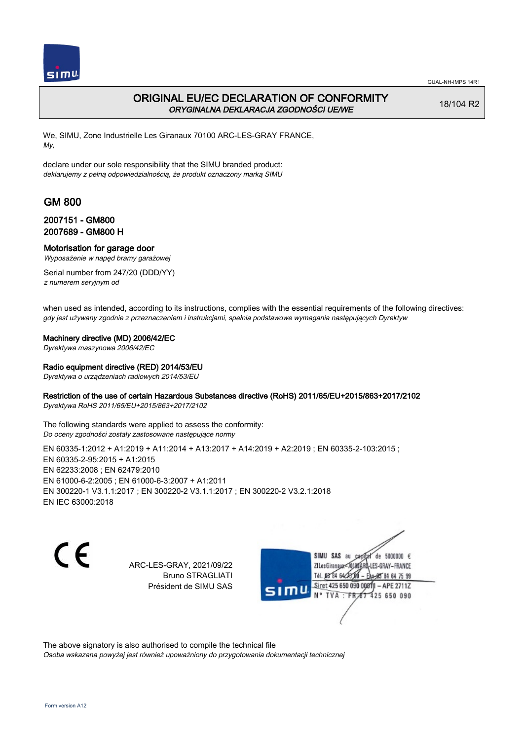

## ORIGINAL EU/EC DECLARATION OF CONFORMITY ORYGINALNA DEKLARACJA ZGODNOŚCI UE/WE

18/104 R2

We, SIMU, Zone Industrielle Les Giranaux 70100 ARC-LES-GRAY FRANCE, My,

declare under our sole responsibility that the SIMU branded product: deklarujemy z pełną odpowiedzialnością, że produkt oznaczony marką SIMU

# GM 800

### 2007151 - GM800 2007689 - GM800 H

#### Motorisation for garage door

Wyposażenie w napęd bramy garażowej

Serial number from 247/20 (DDD/YY) z numerem seryjnym od

when used as intended, according to its instructions, complies with the essential requirements of the following directives: gdy jest używany zgodnie z przeznaczeniem i instrukcjami, spełnia podstawowe wymagania następujących Dyrektyw

#### Machinery directive (MD) 2006/42/EC

Dyrektywa maszynowa 2006/42/EC

#### Radio equipment directive (RED) 2014/53/EU

Dyrektywa o urządzeniach radiowych 2014/53/EU

### Restriction of the use of certain Hazardous Substances directive (RoHS) 2011/65/EU+2015/863+2017/2102

Dyrektywa RoHS 2011/65/EU+2015/863+2017/2102

The following standards were applied to assess the conformity: Do oceny zgodności zostały zastosowane następujące normy

EN 60335-1:2012 + A1:2019 + A11:2014 + A13:2017 + A14:2019 + A2:2019 ; EN 60335-2-103:2015 ; EN 60335‑2‑95:2015 + A1:2015 EN 62233:2008 ; EN 62479:2010 EN 61000‑6‑2:2005 ; EN 61000‑6‑3:2007 + A1:2011 EN 300220‑1 V3.1.1:2017 ; EN 300220‑2 V3.1.1:2017 ; EN 300220‑2 V3.2.1:2018 EN IEC 63000:2018

C E

ARC-LES-GRAY, 2021/09/22 Bruno STRAGLIATI Président de SIMU SAS

SIMU SAS au de 5000000  $\epsilon$ ZI Les Giranaux</r01 LES-GRAY-FRANCE Tél. 08 R4 64 2 64 75 99 Siret 425 650 090 00811  $-$  APF 27117 125 650 090

The above signatory is also authorised to compile the technical file Osoba wskazana powyżej jest również upoważniony do przygotowania dokumentacji technicznej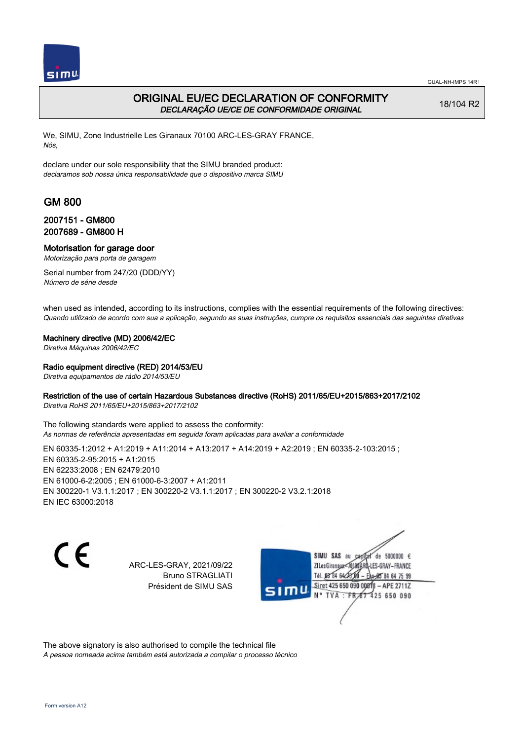

## ORIGINAL EU/EC DECLARATION OF CONFORMITY DECLARAÇÃO UE/CE DE CONFORMIDADE ORIGINAL

18/104 R2

We, SIMU, Zone Industrielle Les Giranaux 70100 ARC-LES-GRAY FRANCE, Nós,

declare under our sole responsibility that the SIMU branded product: declaramos sob nossa única responsabilidade que o dispositivo marca SIMU

# GM 800

## 2007151 - GM800 2007689 - GM800 H

### Motorisation for garage door

Motorização para porta de garagem

Serial number from 247/20 (DDD/YY) Número de série desde

when used as intended, according to its instructions, complies with the essential requirements of the following directives: Quando utilizado de acordo com sua a aplicação, segundo as suas instruções, cumpre os requisitos essenciais das seguintes diretivas

#### Machinery directive (MD) 2006/42/EC

Diretiva Máquinas 2006/42/EC

#### Radio equipment directive (RED) 2014/53/EU

Diretiva equipamentos de rádio 2014/53/EU

### Restriction of the use of certain Hazardous Substances directive (RoHS) 2011/65/EU+2015/863+2017/2102

Diretiva RoHS 2011/65/EU+2015/863+2017/2102

The following standards were applied to assess the conformity: As normas de referência apresentadas em seguida foram aplicadas para avaliar a conformidade

EN 60335-1:2012 + A1:2019 + A11:2014 + A13:2017 + A14:2019 + A2:2019 ; EN 60335-2-103:2015 ; EN 60335‑2‑95:2015 + A1:2015 EN 62233:2008 ; EN 62479:2010 EN 61000‑6‑2:2005 ; EN 61000‑6‑3:2007 + A1:2011 EN 300220‑1 V3.1.1:2017 ; EN 300220‑2 V3.1.1:2017 ; EN 300220‑2 V3.2.1:2018 EN IEC 63000:2018

C E

ARC-LES-GRAY, 2021/09/22 Bruno STRAGLIATI Président de SIMU SAS

SIMU SAS au de 5000000  $\epsilon$ ZI Les Giranaux< ES-GRAY-FRANCE Tél. 08 84 64 2 64 75 99 Siret 425 650 090 00811  $-$  APF 27117 125 650 090

The above signatory is also authorised to compile the technical file A pessoa nomeada acima também está autorizada a compilar o processo técnico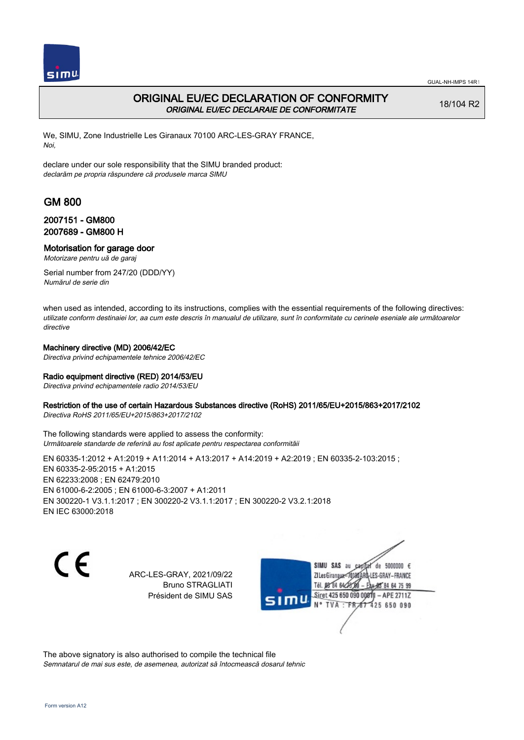

# ORIGINAL EU/EC DECLARATION OF CONFORMITY ORIGINAL EU/EC DECLARAIE DE CONFORMITATE

18/104 R2

We, SIMU, Zone Industrielle Les Giranaux 70100 ARC-LES-GRAY FRANCE, Noi,

declare under our sole responsibility that the SIMU branded product: declarăm pe propria răspundere că produsele marca SIMU

# GM 800

## 2007151 - GM800 2007689 - GM800 H

### Motorisation for garage door

Motorizare pentru uă de garaj

Serial number from 247/20 (DDD/YY) Numărul de serie din

when used as intended, according to its instructions, complies with the essential requirements of the following directives: utilizate conform destinaiei lor, aa cum este descris în manualul de utilizare, sunt în conformitate cu cerinele eseniale ale următoarelor directive

### Machinery directive (MD) 2006/42/EC

Directiva privind echipamentele tehnice 2006/42/EC

### Radio equipment directive (RED) 2014/53/EU

Directiva privind echipamentele radio 2014/53/EU

### Restriction of the use of certain Hazardous Substances directive (RoHS) 2011/65/EU+2015/863+2017/2102

Directiva RoHS 2011/65/EU+2015/863+2017/2102

The following standards were applied to assess the conformity: Următoarele standarde de referină au fost aplicate pentru respectarea conformităii

EN 60335-1:2012 + A1:2019 + A11:2014 + A13:2017 + A14:2019 + A2:2019 ; EN 60335-2-103:2015 ;

EN 60335‑2‑95:2015 + A1:2015 EN 62233:2008 ; EN 62479:2010 EN 61000‑6‑2:2005 ; EN 61000‑6‑3:2007 + A1:2011 EN 300220‑1 V3.1.1:2017 ; EN 300220‑2 V3.1.1:2017 ; EN 300220‑2 V3.2.1:2018 EN IEC 63000:2018

C E

ARC-LES-GRAY, 2021/09/22 Bruno STRAGLIATI Président de SIMU SAS

de 5000000  $\epsilon$ SIMU SAS au ZI Les Giranauxe LES-GRAY-FRANCE Tél. 08 84 64 24 95 84 64 75 99 Siret 425 650 090 00811 - APE 2711Z  $TVA$ : FRAT 425 650 090

The above signatory is also authorised to compile the technical file Semnatarul de mai sus este, de asemenea, autorizat să întocmească dosarul tehnic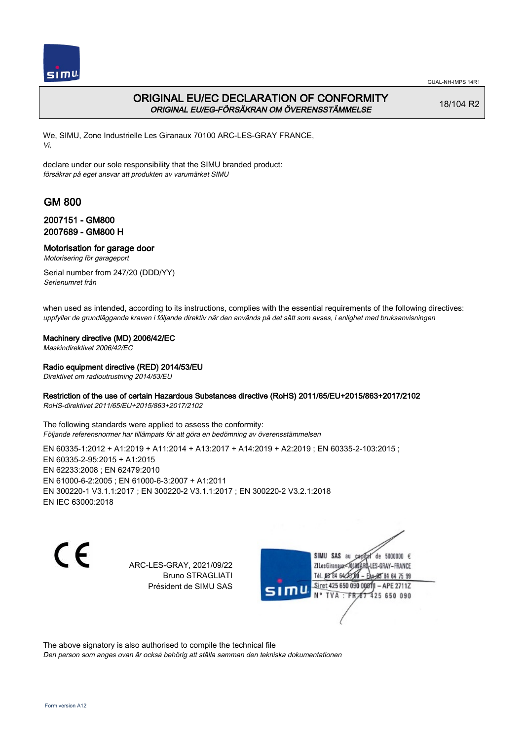

# ORIGINAL EU/EC DECLARATION OF CONFORMITY ORIGINAL EU/EG-FÖRSÄKRAN OM ÖVERENSSTÄMMELSE

18/104 R2

We, SIMU, Zone Industrielle Les Giranaux 70100 ARC-LES-GRAY FRANCE, Vi,

declare under our sole responsibility that the SIMU branded product: försäkrar på eget ansvar att produkten av varumärket SIMU

# GM 800

## 2007151 - GM800 2007689 - GM800 H

Motorisation for garage door

Motorisering för garageport

Serial number from 247/20 (DDD/YY) Serienumret från

when used as intended, according to its instructions, complies with the essential requirements of the following directives: uppfyller de grundläggande kraven i följande direktiv när den används på det sätt som avses, i enlighet med bruksanvisningen

### Machinery directive (MD) 2006/42/EC

Maskindirektivet 2006/42/EC

### Radio equipment directive (RED) 2014/53/EU

Direktivet om radioutrustning 2014/53/EU

### Restriction of the use of certain Hazardous Substances directive (RoHS) 2011/65/EU+2015/863+2017/2102

RoHS-direktivet 2011/65/EU+2015/863+2017/2102

The following standards were applied to assess the conformity: Följande referensnormer har tillämpats för att göra en bedömning av överensstämmelsen

EN 60335-1:2012 + A1:2019 + A11:2014 + A13:2017 + A14:2019 + A2:2019 ; EN 60335-2-103:2015 ; EN 60335‑2‑95:2015 + A1:2015 EN 62233:2008 ; EN 62479:2010 EN 61000‑6‑2:2005 ; EN 61000‑6‑3:2007 + A1:2011 EN 300220‑1 V3.1.1:2017 ; EN 300220‑2 V3.1.1:2017 ; EN 300220‑2 V3.2.1:2018 EN IEC 63000:2018

 $\epsilon$ 

ARC-LES-GRAY, 2021/09/22 Bruno STRAGLIATI Président de SIMU SAS

SIMU SAS au de 5000000  $\epsilon$ ZI Les Giranaux<sup>2</sup> ES-GRAY-FRANCE Tél. 08 84 64 2 64 75 99 Siret 425 650 090 00811  $-$  APF 27117 125 650 090

The above signatory is also authorised to compile the technical file

Den person som anges ovan är också behörig att ställa samman den tekniska dokumentationen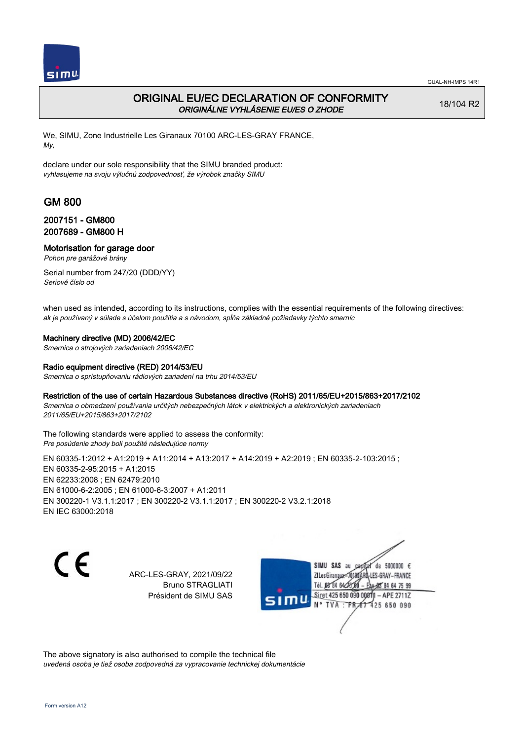

# ORIGINAL EU/EC DECLARATION OF CONFORMITY ORIGINÁLNE VYHLÁSENIE EU/ES O ZHODE

18/104 R2

We, SIMU, Zone Industrielle Les Giranaux 70100 ARC-LES-GRAY FRANCE, My,

declare under our sole responsibility that the SIMU branded product: vyhlasujeme na svoju výlučnú zodpovednosť, že výrobok značky SIMU

# GM 800

## 2007151 - GM800 2007689 - GM800 H

Motorisation for garage door

Pohon pre garážové brány

Serial number from 247/20 (DDD/YY) Seriové číslo od

when used as intended, according to its instructions, complies with the essential requirements of the following directives: ak je používaný v súlade s účelom použitia a s návodom, spĺňa základné požiadavky týchto smerníc

### Machinery directive (MD) 2006/42/EC

Smernica o strojových zariadeniach 2006/42/EC

### Radio equipment directive (RED) 2014/53/EU

Smernica o sprístupňovaniu rádiových zariadení na trhu 2014/53/EU

### Restriction of the use of certain Hazardous Substances directive (RoHS) 2011/65/EU+2015/863+2017/2102

Smernica o obmedzení používania určitých nebezpečných látok v elektrických a elektronických zariadeniach 2011/65/EU+2015/863+2017/2102

The following standards were applied to assess the conformity: Pre posúdenie zhody boli použité následujúce normy

EN 60335-1:2012 + A1:2019 + A11:2014 + A13:2017 + A14:2019 + A2:2019 ; EN 60335-2-103:2015 ; EN 60335‑2‑95:2015 + A1:2015 EN 62233:2008 ; EN 62479:2010 EN 61000‑6‑2:2005 ; EN 61000‑6‑3:2007 + A1:2011 EN 300220‑1 V3.1.1:2017 ; EN 300220‑2 V3.1.1:2017 ; EN 300220‑2 V3.2.1:2018 EN IEC 63000:2018

C E

ARC-LES-GRAY, 2021/09/22 Bruno STRAGLIATI Président de SIMU SAS



The above signatory is also authorised to compile the technical file uvedená osoba je tiež osoba zodpovedná za vypracovanie technickej dokumentácie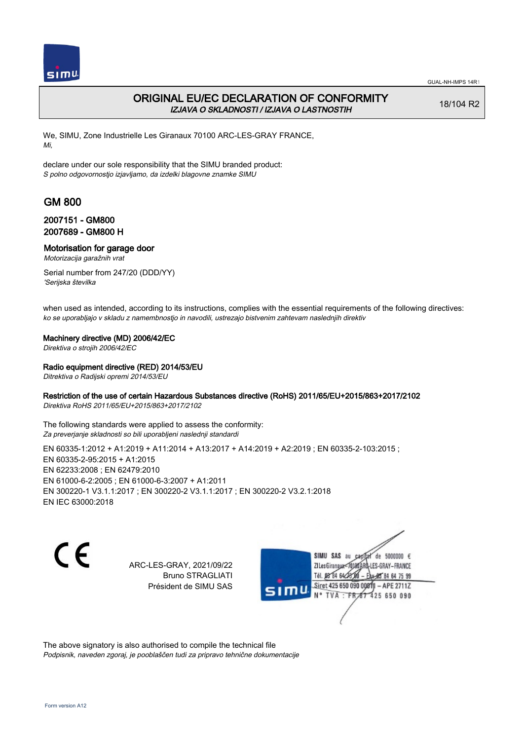

# ORIGINAL EU/EC DECLARATION OF CONFORMITY IZJAVA O SKLADNOSTI / IZJAVA O LASTNOSTIH

18/104 R2

We, SIMU, Zone Industrielle Les Giranaux 70100 ARC-LES-GRAY FRANCE, Mi,

declare under our sole responsibility that the SIMU branded product: S polno odgovornostjo izjavljamo, da izdelki blagovne znamke SIMU

# GM 800

## 2007151 - GM800 2007689 - GM800 H

Motorisation for garage door

Motorizacija garažnih vrat

Serial number from 247/20 (DDD/YY) 'Serijska številka

when used as intended, according to its instructions, complies with the essential requirements of the following directives: ko se uporabljajo v skladu z namembnostjo in navodili, ustrezajo bistvenim zahtevam naslednjih direktiv

### Machinery directive (MD) 2006/42/EC

Direktiva o strojih 2006/42/EC

### Radio equipment directive (RED) 2014/53/EU

Ditrektiva o Radijski opremi 2014/53/EU

### Restriction of the use of certain Hazardous Substances directive (RoHS) 2011/65/EU+2015/863+2017/2102

Direktiva RoHS 2011/65/EU+2015/863+2017/2102

The following standards were applied to assess the conformity: Za preverjanje skladnosti so bili uporabljeni naslednji standardi

EN 60335-1:2012 + A1:2019 + A11:2014 + A13:2017 + A14:2019 + A2:2019 ; EN 60335-2-103:2015 ; EN 60335‑2‑95:2015 + A1:2015 EN 62233:2008 ; EN 62479:2010 EN 61000‑6‑2:2005 ; EN 61000‑6‑3:2007 + A1:2011 EN 300220‑1 V3.1.1:2017 ; EN 300220‑2 V3.1.1:2017 ; EN 300220‑2 V3.2.1:2018 EN IEC 63000:2018

 $\epsilon$ 

ARC-LES-GRAY, 2021/09/22 Bruno STRAGLIATI Président de SIMU SAS

SIMU SAS au de 5000000  $\epsilon$ ZI Les Giranaux<7 LES-GRAY-FRANCE Tél. 08 R4 64 2 64 75 99 Siret 425 650 090 00811  $-$  APF 27117 125 650 090

The above signatory is also authorised to compile the technical file Podpisnik, naveden zgoraj, je pooblaščen tudi za pripravo tehnične dokumentacije